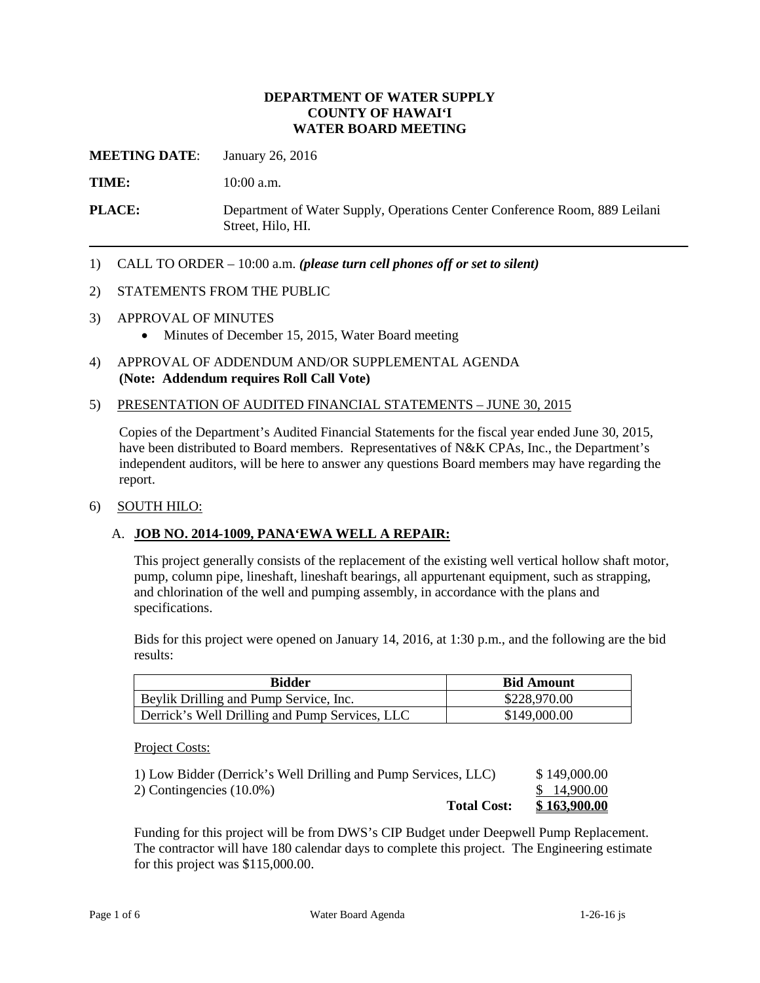#### **DEPARTMENT OF WATER SUPPLY COUNTY OF HAWAI'I WATER BOARD MEETING**

**MEETING DATE:** January 26, 2016

TIME: **10:00 a.m.** 

**PLACE:** Department of Water Supply, Operations Center Conference Room, 889 Leilani Street, Hilo, HI.

1) CALL TO ORDER – 10:00 a.m. *(please turn cell phones off or set to silent)* 

#### 2) STATEMENTS FROM THE PUBLIC

- 3) APPROVAL OF MINUTES
	- Minutes of December 15, 2015, Water Board meeting
- 4) APPROVAL OF ADDENDUM AND/OR SUPPLEMENTAL AGENDA **(Note: Addendum requires Roll Call Vote)**

#### 5) PRESENTATION OF AUDITED FINANCIAL STATEMENTS – JUNE 30, 2015

 Copies of the Department's Audited Financial Statements for the fiscal year ended June 30, 2015, have been distributed to Board members. Representatives of N&K CPAs, Inc., the Department's independent auditors, will be here to answer any questions Board members may have regarding the report.

#### 6) SOUTH HILO:

### A. **JOB NO. 2014-1009, PANA'EWA WELL A REPAIR:**

This project generally consists of the replacement of the existing well vertical hollow shaft motor, pump, column pipe, lineshaft, lineshaft bearings, all appurtenant equipment, such as strapping, and chlorination of the well and pumping assembly, in accordance with the plans and specifications.

Bids for this project were opened on January 14, 2016, at 1:30 p.m., and the following are the bid results:

| <b>Bidder</b>                                  | <b>Bid Amount</b> |
|------------------------------------------------|-------------------|
| Beylik Drilling and Pump Service, Inc.         | \$228,970.00      |
| Derrick's Well Drilling and Pump Services, LLC | \$149,000.00      |

Project Costs:

| <b>Total Cost:</b>                                             | <u>\$163,900.00</u> |
|----------------------------------------------------------------|---------------------|
| 2) Contingencies $(10.0\%)$                                    | \$14,900.00         |
| 1) Low Bidder (Derrick's Well Drilling and Pump Services, LLC) | \$149,000.00        |

Funding for this project will be from DWS's CIP Budget under Deepwell Pump Replacement. The contractor will have 180 calendar days to complete this project. The Engineering estimate for this project was \$115,000.00.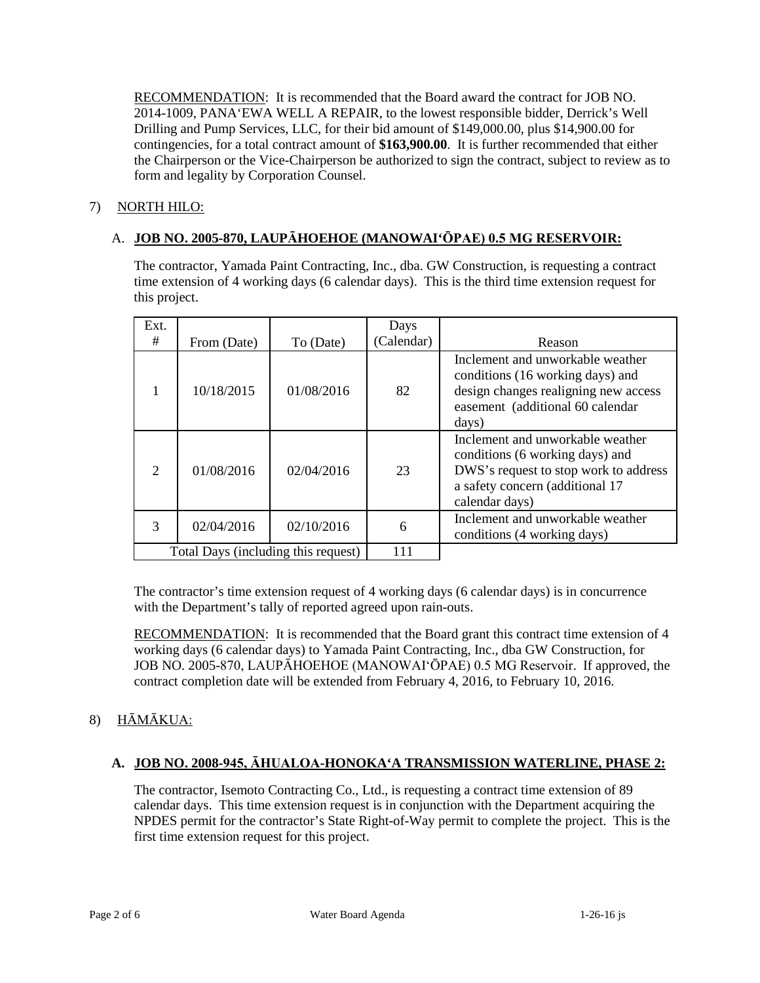RECOMMENDATION: It is recommended that the Board award the contract for JOB NO. contingencies, for a total contract amount of **\$163,900.00**. It is further recommended that either the Chairperson or the Vice-Chairperson be authorized to sign the contract, subject to review as to 2014-1009, PANA'EWA WELL A REPAIR, to the lowest responsible bidder, Derrick's Well Drilling and Pump Services, LLC, for their bid amount of \$149,000.00, plus \$14,900.00 for form and legality by Corporation Counsel.

# 7) NORTH HILO:

# A. **JOB NO. 2005-870, LAUPĀHOEHOE (MANOWAI'ŌPAE) 0.5 MG RESERVOIR:**

The contractor, Yamada Paint Contracting, Inc., dba. GW Construction, is requesting a contract time extension of 4 working days (6 calendar days). This is the third time extension request for this project.

| Ext.          |                                     |            | Days       |                                                                                                                                                                   |
|---------------|-------------------------------------|------------|------------|-------------------------------------------------------------------------------------------------------------------------------------------------------------------|
| #             | From (Date)                         | To (Date)  | (Calendar) | Reason                                                                                                                                                            |
|               | 10/18/2015                          | 01/08/2016 | 82         | Inclement and unworkable weather<br>conditions (16 working days) and<br>design changes realigning new access<br>easement (additional 60 calendar<br>days)         |
| $\mathcal{D}$ | 01/08/2016                          | 02/04/2016 | 23         | Inclement and unworkable weather<br>conditions (6 working days) and<br>DWS's request to stop work to address<br>a safety concern (additional 17<br>calendar days) |
| $\mathcal{R}$ | 02/04/2016                          | 02/10/2016 | 6          | Inclement and unworkable weather<br>conditions (4 working days)                                                                                                   |
|               | Total Days (including this request) |            | 111        |                                                                                                                                                                   |

The contractor's time extension request of 4 working days (6 calendar days) is in concurrence with the Department's tally of reported agreed upon rain-outs.

RECOMMENDATION: It is recommended that the Board grant this contract time extension of 4 working days (6 calendar days) to Yamada Paint Contracting, Inc., dba GW Construction, for JOB NO. 2005-870, LAUPĀHOEHOE (MANOWAI'ŌPAE) 0.5 MG Reservoir. If approved, the contract completion date will be extended from February 4, 2016, to February 10, 2016.

# 8) HĀMĀKUA:

# **A. JOB NO. 2008-945, ĀHUALOA-HONOKA'A TRANSMISSION WATERLINE, PHASE 2:**

 calendar days. This time extension request is in conjunction with the Department acquiring the NPDES permit for the contractor's State Right-of-Way permit to complete the project. This is the The contractor, Isemoto Contracting Co., Ltd., is requesting a contract time extension of 89 first time extension request for this project.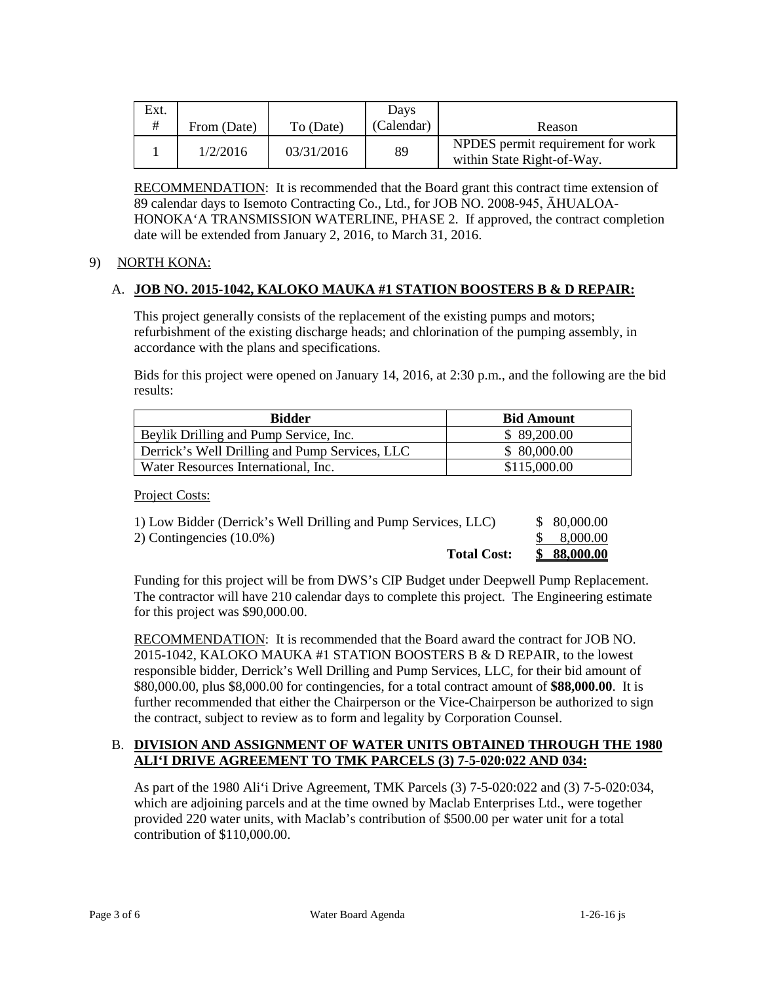| Ext. |             |            | Davs       |                                                                 |
|------|-------------|------------|------------|-----------------------------------------------------------------|
| #    | From (Date) | To (Date)  | (Calendar) | Reason                                                          |
|      | 1/2/2016    | 03/31/2016 | 89         | NPDES permit requirement for work<br>within State Right-of-Way. |

RECOMMENDATION: It is recommended that the Board grant this contract time extension of 89 calendar days to Isemoto Contracting Co., Ltd., for JOB NO. 2008-945, ĀHUALOA-HONOKA'A TRANSMISSION WATERLINE, PHASE 2. If approved, the contract completion date will be extended from January 2, 2016, to March 31, 2016.

# 9) NORTH KONA:

# A. **JOB NO. 2015-1042, KALOKO MAUKA #1 STATION BOOSTERS B & D REPAIR:**

This project generally consists of the replacement of the existing pumps and motors; refurbishment of the existing discharge heads; and chlorination of the pumping assembly, in accordance with the plans and specifications.

Bids for this project were opened on January 14, 2016, at 2:30 p.m., and the following are the bid results:

| <b>Bidder</b>                                  | <b>Bid Amount</b> |
|------------------------------------------------|-------------------|
| Beylik Drilling and Pump Service, Inc.         | \$ 89,200.00      |
| Derrick's Well Drilling and Pump Services, LLC | \$80,000.00       |
| Water Resources International, Inc.            | \$115,000.00      |

Project Costs:

| 1) Low Bidder (Derrick's Well Drilling and Pump Services, LLC) | \$ 80,000.00 |
|----------------------------------------------------------------|--------------|
| 2) Contingencies $(10.0\%)$                                    | \$ 8,000.00  |
| <b>Total Cost:</b>                                             | \$88,000.00  |

Funding for this project will be from DWS's CIP Budget under Deepwell Pump Replacement. The contractor will have 210 calendar days to complete this project. The Engineering estimate for this project was \$90,000.00.

RECOMMENDATION: It is recommended that the Board award the contract for JOB NO. 2015-1042, KALOKO MAUKA #1 STATION BOOSTERS B & D REPAIR, to the lowest responsible bidder, Derrick's Well Drilling and Pump Services, LLC, for their bid amount of \$80,000.00, plus \$8,000.00 for contingencies, for a total contract amount of **\$88,000.00**. It is further recommended that either the Chairperson or the Vice-Chairperson be authorized to sign the contract, subject to review as to form and legality by Corporation Counsel.

# B. **DIVISION AND ASSIGNMENT OF WATER UNITS OBTAINED THROUGH THE 1980 ALI'I DRIVE AGREEMENT TO TMK PARCELS (3) 7-5-020:022 AND 034:**

 provided 220 water units, with Maclab's contribution of \$500.00 per water unit for a total As part of the 1980 Ali'i Drive Agreement, TMK Parcels (3) 7-5-020:022 and (3) 7-5-020:034, which are adjoining parcels and at the time owned by Maclab Enterprises Ltd., were together contribution of \$110,000.00.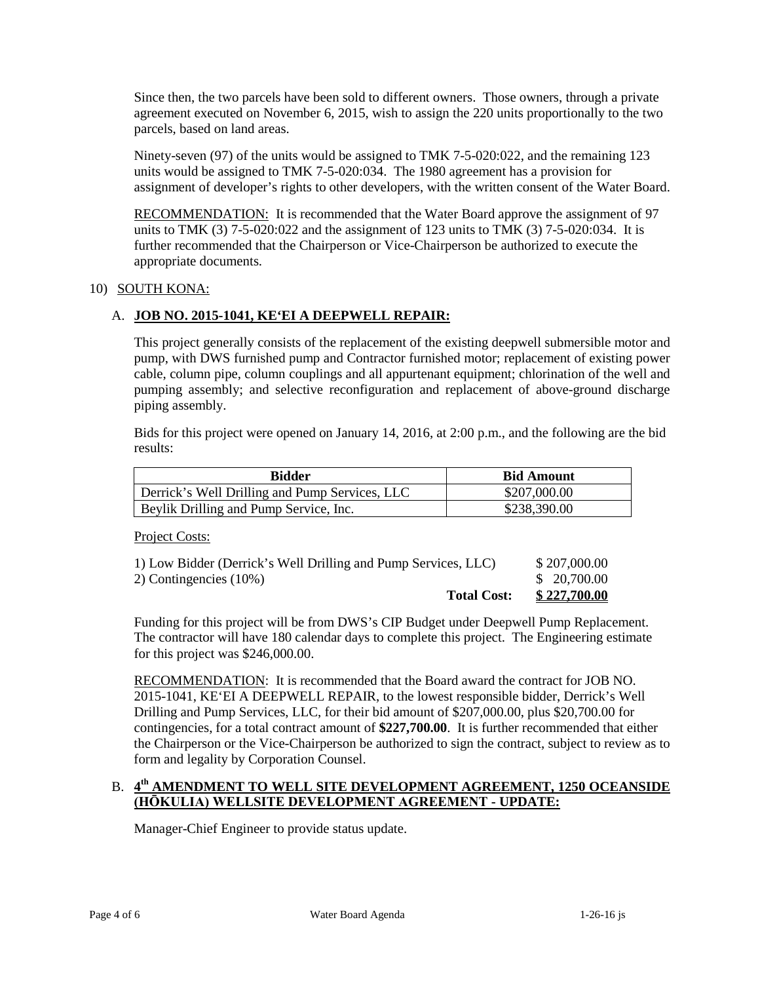Since then, the two parcels have been sold to different owners. Those owners, through a private agreement executed on November 6, 2015, wish to assign the 220 units proportionally to the two parcels, based on land areas.

 Ninety-seven (97) of the units would be assigned to TMK 7-5-020:022, and the remaining 123 units would be assigned to TMK 7-5-020:034. The 1980 agreement has a provision for assignment of developer's rights to other developers, with the written consent of the Water Board.

RECOMMENDATION: It is recommended that the Water Board approve the assignment of 97 units to TMK (3) 7-5-020:022 and the assignment of 123 units to TMK (3) 7-5-020:034. It is further recommended that the Chairperson or Vice-Chairperson be authorized to execute the appropriate documents.

### 10) SOUTH KONA:

# A. **JOB NO. 2015-1041, KE'EI A DEEPWELL REPAIR:**

 This project generally consists of the replacement of the existing deepwell submersible motor and pump, with DWS furnished pump and Contractor furnished motor; replacement of existing power cable, column pipe, column couplings and all appurtenant equipment; chlorination of the well and pumping assembly; and selective reconfiguration and replacement of above-ground discharge piping assembly.

Bids for this project were opened on January 14, 2016, at 2:00 p.m., and the following are the bid results:

| Bidder                                         | <b>Bid Amount</b> |
|------------------------------------------------|-------------------|
| Derrick's Well Drilling and Pump Services, LLC | \$207,000.00      |
| Beylik Drilling and Pump Service, Inc.         | \$238,390.00      |

Project Costs:

| 1) Low Bidder (Derrick's Well Drilling and Pump Services, LLC) | \$207,000.00 |
|----------------------------------------------------------------|--------------|
| 2) Contingencies (10%)                                         | \$20,700.00  |
| <b>Total Cost:</b>                                             | \$227,700.00 |

Funding for this project will be from DWS's CIP Budget under Deepwell Pump Replacement. The contractor will have 180 calendar days to complete this project. The Engineering estimate for this project was \$246,000.00.

RECOMMENDATION: It is recommended that the Board award the contract for JOB NO. 2015-1041, KE'EI A DEEPWELL REPAIR, to the lowest responsible bidder, Derrick's Well contingencies, for a total contract amount of **\$227,700.00**. It is further recommended that either the Chairperson or the Vice-Chairperson be authorized to sign the contract, subject to review as to Drilling and Pump Services, LLC, for their bid amount of \$207,000.00, plus \$20,700.00 for form and legality by Corporation Counsel.

# B. 4<sup>th</sup> AMENDMENT TO WELL SITE DEVELOPMENT AGREEMENT, 1250 OCEANSIDE **(HŌKULIA) WELLSITE DEVELOPMENT AGREEMENT - UPDATE:**

Manager-Chief Engineer to provide status update.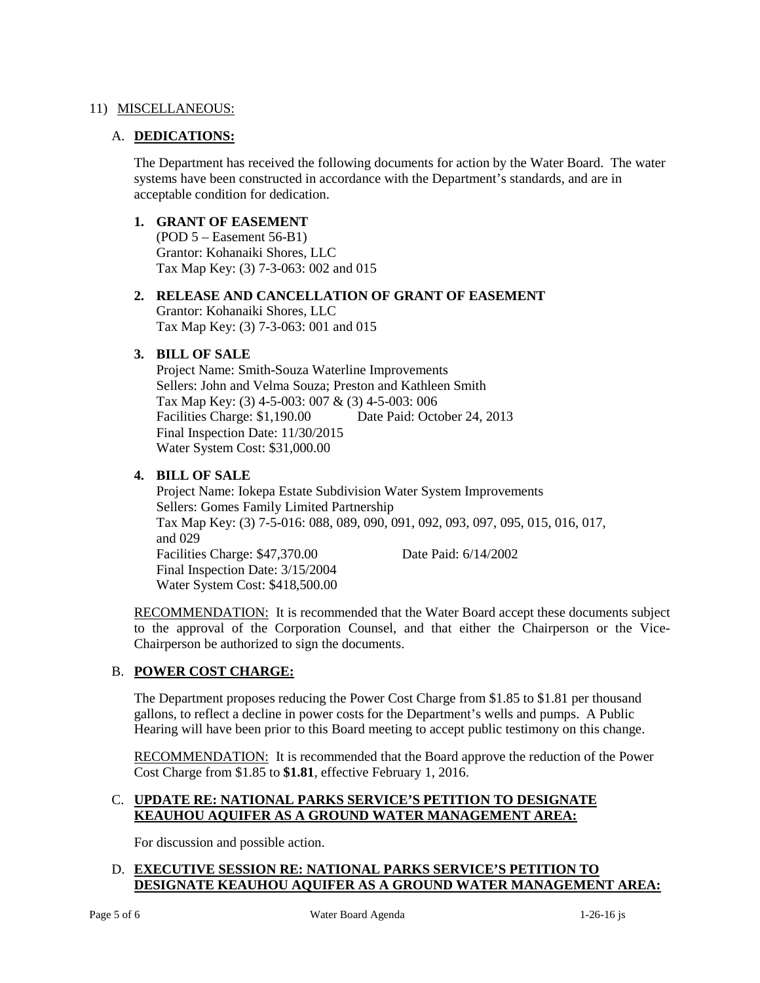## 11) MISCELLANEOUS:

### A. **DEDICATIONS:**

The Department has received the following documents for action by the Water Board. The water systems have been constructed in accordance with the Department's standards, and are in acceptable condition for dedication.

### **1. GRANT OF EASEMENT**

(POD 5 – Easement 56-B1) Grantor: Kohanaiki Shores, LLC Tax Map Key: (3) 7-3-063: 002 and 015

# **2. RELEASE AND CANCELLATION OF GRANT OF EASEMENT**

Grantor: Kohanaiki Shores, LLC Tax Map Key: (3) 7-3-063: 001 and 015

# **3. BILL OF SALE**

 Final Inspection Date: 11/30/2015 Project Name: Smith-Souza Waterline Improvements Sellers: John and Velma Souza; Preston and Kathleen Smith Tax Map Key: (3) 4-5-003: 007 & (3) 4-5-003: 006 Facilities Charge: \$1,190.00 Date Paid: October 24, 2013 Water System Cost: \$31,000.00

### **4. BILL OF SALE**

 Final Inspection Date: 3/15/2004 Project Name: Iokepa Estate Subdivision Water System Improvements Sellers: Gomes Family Limited Partnership Tax Map Key: (3) 7-5-016: 088, 089, 090, 091, 092, 093, 097, 095, 015, 016, 017, and 029 Facilities Charge: \$47,370.00 Date Paid: 6/14/2002 Water System Cost: \$418,500.00

RECOMMENDATION: It is recommended that the Water Board accept these documents subject to the approval of the Corporation Counsel, and that either the Chairperson or the Vice-Chairperson be authorized to sign the documents.

# B. **POWER COST CHARGE:**

The Department proposes reducing the Power Cost Charge from \$1.85 to \$1.81 per thousand gallons, to reflect a decline in power costs for the Department's wells and pumps. A Public Hearing will have been prior to this Board meeting to accept public testimony on this change.

RECOMMENDATION: It is recommended that the Board approve the reduction of the Power Cost Charge from \$1.85 to **\$1.81**, effective February 1, 2016.

# C. **UPDATE RE: NATIONAL PARKS SERVICE'S PETITION TO DESIGNATE KEAUHOU AQUIFER AS A GROUND WATER MANAGEMENT AREA:**

For discussion and possible action.

# D. **EXECUTIVE SESSION RE: NATIONAL PARKS SERVICE'S PETITION TO DESIGNATE KEAUHOU AQUIFER AS A GROUND WATER MANAGEMENT AREA:**